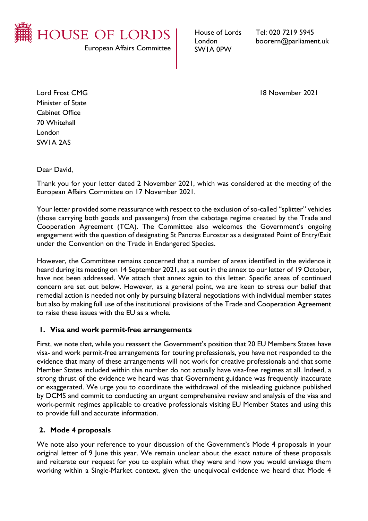

European Affairs Committee

House of Lords London SW1A 0PW

Tel: 020 7219 5945 boorern@parliament.uk

Lord Frost CMG 18 November 2021

Minister of State Cabinet Office 70 Whitehall London SW1A 2AS

Dear David,

Thank you for your letter dated 2 November 2021, which was considered at the meeting of the European Affairs Committee on 17 November 2021.

Your letter provided some reassurance with respect to the exclusion of so-called "splitter" vehicles (those carrying both goods and passengers) from the cabotage regime created by the Trade and Cooperation Agreement (TCA). The Committee also welcomes the Government's ongoing engagement with the question of designating St Pancras Eurostar as a designated Point of Entry/Exit under the Convention on the Trade in Endangered Species.

However, the Committee remains concerned that a number of areas identified in the evidence it heard during its meeting on 14 September 2021, as set out in the annex to our letter of 19 October, have not been addressed. We attach that annex again to this letter. Specific areas of continued concern are set out below. However, as a general point, we are keen to stress our belief that remedial action is needed not only by pursuing bilateral negotiations with individual member states but also by making full use of the institutional provisions of the Trade and Cooperation Agreement to raise these issues with the EU as a whole.

### **1. Visa and work permit-free arrangements**

First, we note that, while you reassert the Government's position that 20 EU Members States have visa- and work permit-free arrangements for touring professionals, you have not responded to the evidence that many of these arrangements will not work for creative professionals and that some Member States included within this number do not actually have visa-free regimes at all. Indeed, a strong thrust of the evidence we heard was that Government guidance was frequently inaccurate or exaggerated. We urge you to coordinate the withdrawal of the misleading guidance published by DCMS and commit to conducting an urgent comprehensive review and analysis of the visa and work-permit regimes applicable to creative professionals visiting EU Member States and using this to provide full and accurate information.

### **2. Mode 4 proposals**

We note also your reference to your discussion of the Government's Mode 4 proposals in your original letter of 9 June this year. We remain unclear about the exact nature of these proposals and reiterate our request for you to explain what they were and how you would envisage them working within a Single-Market context, given the unequivocal evidence we heard that Mode 4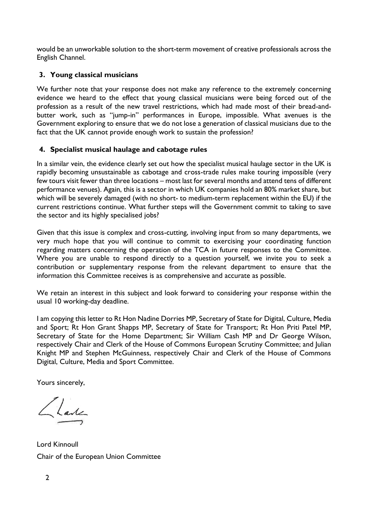would be an unworkable solution to the short-term movement of creative professionals across the English Channel.

# **3. Young classical musicians**

We further note that your response does not make any reference to the extremely concerning evidence we heard to the effect that young classical musicians were being forced out of the profession as a result of the new travel restrictions, which had made most of their bread-andbutter work, such as "jump-in" performances in Europe, impossible. What avenues is the Government exploring to ensure that we do not lose a generation of classical musicians due to the fact that the UK cannot provide enough work to sustain the profession?

## **4. Specialist musical haulage and cabotage rules**

In a similar vein, the evidence clearly set out how the specialist musical haulage sector in the UK is rapidly becoming unsustainable as cabotage and cross-trade rules make touring impossible (very few tours visit fewer than three locations – most last for several months and attend tens of different performance venues). Again, this is a sector in which UK companies hold an 80% market share, but which will be severely damaged (with no short- to medium-term replacement within the EU) if the current restrictions continue. What further steps will the Government commit to taking to save the sector and its highly specialised jobs?

Given that this issue is complex and cross-cutting, involving input from so many departments, we very much hope that you will continue to commit to exercising your coordinating function regarding matters concerning the operation of the TCA in future responses to the Committee. Where you are unable to respond directly to a question yourself, we invite you to seek a contribution or supplementary response from the relevant department to ensure that the information this Committee receives is as comprehensive and accurate as possible.

We retain an interest in this subject and look forward to considering your response within the usual 10 working-day deadline.

I am copying this letter to Rt Hon Nadine Dorries MP, Secretary of State for Digital, Culture, Media and Sport; Rt Hon Grant Shapps MP, Secretary of State for Transport; Rt Hon Priti Patel MP, Secretary of State for the Home Department; Sir William Cash MP and Dr George Wilson, respectively Chair and Clerk of the House of Commons European Scrutiny Committee; and Julian Knight MP and Stephen McGuinness, respectively Chair and Clerk of the House of Commons Digital, Culture, Media and Sport Committee.

Yours sincerely,

Llade

Lord Kinnoull Chair of the European Union Committee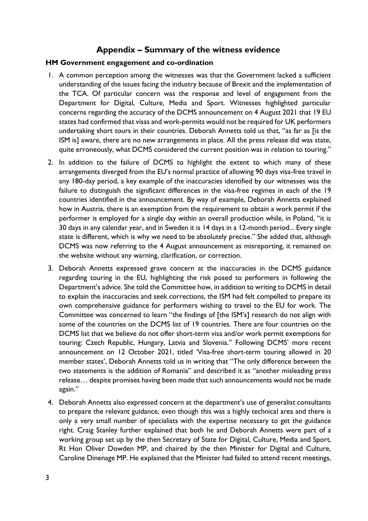# **Appendix – Summary of the witness evidence**

#### **HM Government engagement and co-ordination**

- 1. A common perception among the witnesses was that the Government lacked a sufficient understanding of the issues facing the industry because of Brexit and the implementation of the TCA. Of particular concern was the response and level of engagement from the Department for Digital, Culture, Media and Sport. Witnesses highlighted particular concerns regarding the accuracy of the DCMS announcement on 4 August 2021 that 19 EU states had confirmed that visas and work-permits would not be required for UK performers undertaking short tours in their countries. Deborah Annetts told us that, "as far as [is the ISM is] aware, there are no new arrangements in place. All the press release did was state, quite erroneously, what DCMS considered the current position was in relation to touring."
- 2. In addition to the failure of DCMS to highlight the extent to which many of these arrangements diverged from the EU's normal practice of allowing 90 days visa-free travel in any 180-day period, a key example of the inaccuracies identified by our witnesses was the failure to distinguish the significant differences in the visa-free regimes in each of the 19 countries identified in the announcement. By way of example, Deborah Annetts explained how in Austria, there is an exemption from the requirement to obtain a work permit if the performer is employed for a single day within an overall production while, in Poland, "it is 30 days in any calendar year, and in Sweden it is 14 days in a 12-month period... Every single state is different, which is why we need to be absolutely precise." She added that, although DCMS was now referring to the 4 August announcement as misreporting, it remained on the website without any warning, clarification, or correction.
- 3. Deborah Annetts expressed grave concern at the inaccuracies in the DCMS guidance regarding touring in the EU, highlighting the risk posed to performers in following the Department's advice. She told the Committee how, in addition to writing to DCMS in detail to explain the inaccuracies and seek corrections, the ISM had felt compelled to prepare its own comprehensive guidance for performers wishing to travel to the EU for work. The Committee was concerned to learn "the findings of [the ISM's] research do not align with some of the countries on the DCMS list of 19 countries. There are four countries on the DCMS list that we believe do not offer short-term visa and/or work permit exemptions for touring: Czech Republic, Hungary, Latvia and Slovenia." Following DCMS' more recent announcement on 12 October 2021, titled 'Visa-free short-term touring allowed in 20 member states', Deborah Annetts told us in writing that "The only difference between the two statements is the addition of Romania" and described it as "another misleading press release… despite promises having been made that such announcements would not be made again."
- 4. Deborah Annetts also expressed concern at the department's use of generalist consultants to prepare the relevant guidance, even though this was a highly technical area and there is only a very small number of specialists with the expertise necessary to get the guidance right. Craig Stanley further explained that both he and Deborah Annetts were part of a working group set up by the then Secretary of State for Digital, Culture, Media and Sport, Rt Hon Oliver Dowden MP, and chaired by the then Minister for Digital and Culture, Caroline Dinenage MP. He explained that the Minister had failed to attend recent meetings,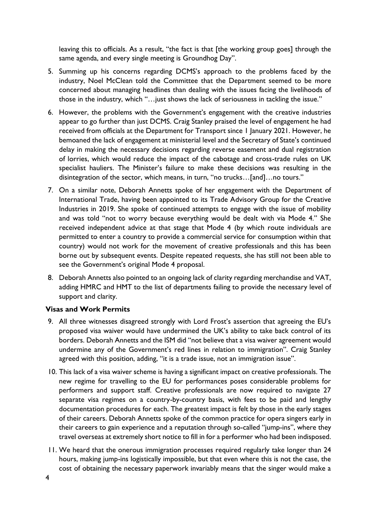leaving this to officials. As a result, "the fact is that [the working group goes] through the same agenda, and every single meeting is Groundhog Day".

- 5. Summing up his concerns regarding DCMS's approach to the problems faced by the industry, Noel McClean told the Committee that the Department seemed to be more concerned about managing headlines than dealing with the issues facing the livelihoods of those in the industry, which "…just shows the lack of seriousness in tackling the issue."
- 6. However, the problems with the Government's engagement with the creative industries appear to go further than just DCMS. Craig Stanley praised the level of engagement he had received from officials at the Department for Transport since 1 January 2021. However, he bemoaned the lack of engagement at ministerial level and the Secretary of State's continued delay in making the necessary decisions regarding reverse easement and dual registration of lorries, which would reduce the impact of the cabotage and cross-trade rules on UK specialist hauliers. The Minister's failure to make these decisions was resulting in the disintegration of the sector, which means, in turn, "no trucks...[and]...no tours."
- 7. On a similar note, Deborah Annetts spoke of her engagement with the Department of International Trade, having been appointed to its Trade Advisory Group for the Creative Industries in 2019. She spoke of continued attempts to engage with the issue of mobility and was told "not to worry because everything would be dealt with via Mode 4." She received independent advice at that stage that Mode 4 (by which route individuals are permitted to enter a country to provide a commercial service for consumption within that country) would not work for the movement of creative professionals and this has been borne out by subsequent events. Despite repeated requests, she has still not been able to see the Government's original Mode 4 proposal.
- 8. Deborah Annetts also pointed to an ongoing lack of clarity regarding merchandise and VAT, adding HMRC and HMT to the list of departments failing to provide the necessary level of support and clarity.

### **Visas and Work Permits**

- 9. All three witnesses disagreed strongly with Lord Frost's assertion that agreeing the EU's proposed visa waiver would have undermined the UK's ability to take back control of its borders. Deborah Annetts and the ISM did "not believe that a visa waiver agreement would undermine any of the Government's red lines in relation to immigration". Craig Stanley agreed with this position, adding, "it is a trade issue, not an immigration issue".
- 10. This lack of a visa waiver scheme is having a significant impact on creative professionals. The new regime for travelling to the EU for performances poses considerable problems for performers and support staff. Creative professionals are now required to navigate 27 separate visa regimes on a country-by-country basis, with fees to be paid and lengthy documentation procedures for each. The greatest impact is felt by those in the early stages of their careers. Deborah Annetts spoke of the common practice for opera singers early in their careers to gain experience and a reputation through so-called "jump-ins", where they travel overseas at extremely short notice to fill in for a performer who had been indisposed.
- 11. We heard that the onerous immigration processes required regularly take longer than 24 hours, making jump-ins logistically impossible, but that even where this is not the case, the cost of obtaining the necessary paperwork invariably means that the singer would make a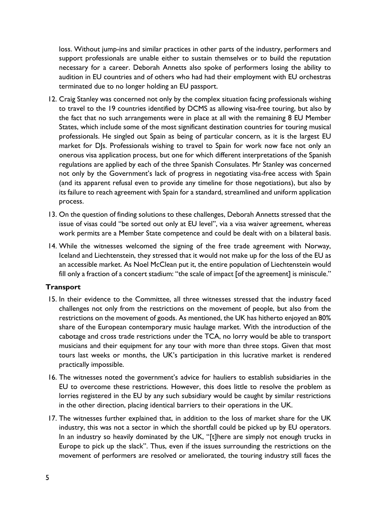loss. Without jump-ins and similar practices in other parts of the industry, performers and support professionals are unable either to sustain themselves or to build the reputation necessary for a career. Deborah Annetts also spoke of performers losing the ability to audition in EU countries and of others who had had their employment with EU orchestras terminated due to no longer holding an EU passport.

- 12. Craig Stanley was concerned not only by the complex situation facing professionals wishing to travel to the 19 countries identified by DCMS as allowing visa-free touring, but also by the fact that no such arrangements were in place at all with the remaining 8 EU Member States, which include some of the most significant destination countries for touring musical professionals. He singled out Spain as being of particular concern, as it is the largest EU market for DJs. Professionals wishing to travel to Spain for work now face not only an onerous visa application process, but one for which different interpretations of the Spanish regulations are applied by each of the three Spanish Consulates. Mr Stanley was concerned not only by the Government's lack of progress in negotiating visa-free access with Spain (and its apparent refusal even to provide any timeline for those negotiations), but also by its failure to reach agreement with Spain for a standard, streamlined and uniform application process.
- 13. On the question of finding solutions to these challenges, Deborah Annetts stressed that the issue of visas could "be sorted out only at EU level", via a visa waiver agreement, whereas work permits are a Member State competence and could be dealt with on a bilateral basis.
- 14. While the witnesses welcomed the signing of the free trade agreement with Norway, Iceland and Liechtenstein, they stressed that it would not make up for the loss of the EU as an accessible market. As Noel McClean put it, the entire population of Liechtenstein would fill only a fraction of a concert stadium: "the scale of impact [of the agreement] is miniscule."

### **Transport**

- 15. In their evidence to the Committee, all three witnesses stressed that the industry faced challenges not only from the restrictions on the movement of people, but also from the restrictions on the movement of goods. As mentioned, the UK has hitherto enjoyed an 80% share of the European contemporary music haulage market. With the introduction of the cabotage and cross trade restrictions under the TCA, no lorry would be able to transport musicians and their equipment for any tour with more than three stops. Given that most tours last weeks or months, the UK's participation in this lucrative market is rendered practically impossible.
- 16. The witnesses noted the government's advice for hauliers to establish subsidiaries in the EU to overcome these restrictions. However, this does little to resolve the problem as lorries registered in the EU by any such subsidiary would be caught by similar restrictions in the other direction, placing identical barriers to their operations in the UK.
- 17. The witnesses further explained that, in addition to the loss of market share for the UK industry, this was not a sector in which the shortfall could be picked up by EU operators. In an industry so heavily dominated by the UK, "[t]here are simply not enough trucks in Europe to pick up the slack". Thus, even if the issues surrounding the restrictions on the movement of performers are resolved or ameliorated, the touring industry still faces the